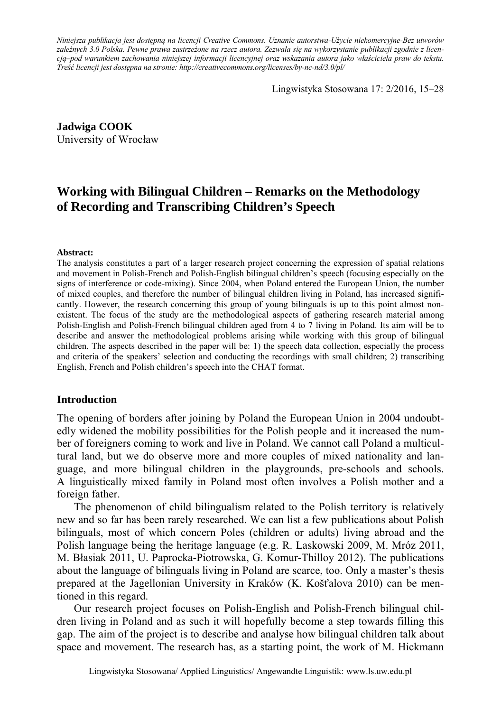*Niniejsza publikacja jest dostępną na licencji Creative Commons. Uznanie autorstwa-Użycie niekomercyjne-Bez utworów zależnych 3.0 Polska. Pewne prawa zastrzeżone na rzecz autora. Zezwala się na wykorzystanie publikacji zgodnie z licencją–pod warunkiem zachowania niniejszej informacji licencyjnej oraz wskazania autora jako właściciela praw do tekstu. Treść licencji jest dostępna na stronie: http://creativecommons.org/licenses/by-nc-nd/3.0/pl/*

Lingwistyka Stosowana 17: 2/2016, 15–28

**Jadwiga COOK**  University of Wrocław

# **Working with Bilingual Children – Remarks on the Methodology of Recording and Transcribing Children's Speech**

#### **Abstract:**

The analysis constitutes a part of a larger research project concerning the expression of spatial relations and movement in Polish-French and Polish-English bilingual children's speech (focusing especially on the signs of interference or code-mixing). Since 2004, when Poland entered the European Union, the number of mixed couples, and therefore the number of bilingual children living in Poland, has increased significantly. However, the research concerning this group of young bilinguals is up to this point almost nonexistent. The focus of the study are the methodological aspects of gathering research material among Polish-English and Polish-French bilingual children aged from 4 to 7 living in Poland. Its aim will be to describe and answer the methodological problems arising while working with this group of bilingual children. The aspects described in the paper will be: 1) the speech data collection, especially the process and criteria of the speakers' selection and conducting the recordings with small children; 2) transcribing English, French and Polish children's speech into the CHAT format.

#### **Introduction**

The opening of borders after joining by Poland the European Union in 2004 undoubtedly widened the mobility possibilities for the Polish people and it increased the number of foreigners coming to work and live in Poland. We cannot call Poland a multicultural land, but we do observe more and more couples of mixed nationality and language, and more bilingual children in the playgrounds, pre-schools and schools. A linguistically mixed family in Poland most often involves a Polish mother and a foreign father.

The phenomenon of child bilingualism related to the Polish territory is relatively new and so far has been rarely researched. We can list a few publications about Polish bilinguals, most of which concern Poles (children or adults) living abroad and the Polish language being the heritage language (e.g. R. Laskowski 2009, M. Mróz 2011, M. Błasiak 2011, U. Paprocka-Piotrowska, G. Komur-Thilloy 2012). The publications about the language of bilinguals living in Poland are scarce, too. Only a master's thesis prepared at the Jagellonian University in Kraków (K. Košťalova 2010) can be mentioned in this regard.

Our research project focuses on Polish-English and Polish-French bilingual children living in Poland and as such it will hopefully become a step towards filling this gap. The aim of the project is to describe and analyse how bilingual children talk about space and movement. The research has, as a starting point, the work of M. Hickmann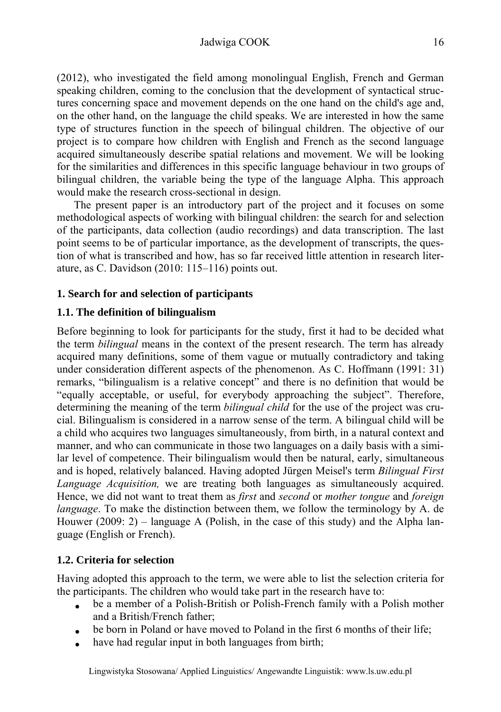# Jadwiga COOK 16

(2012), who investigated the field among monolingual English, French and German speaking children, coming to the conclusion that the development of syntactical structures concerning space and movement depends on the one hand on the child's age and, on the other hand, on the language the child speaks. We are interested in how the same type of structures function in the speech of bilingual children. The objective of our project is to compare how children with English and French as the second language acquired simultaneously describe spatial relations and movement. We will be looking for the similarities and differences in this specific language behaviour in two groups of bilingual children, the variable being the type of the language Alpha. This approach would make the research cross-sectional in design.

The present paper is an introductory part of the project and it focuses on some methodological aspects of working with bilingual children: the search for and selection of the participants, data collection (audio recordings) and data transcription. The last point seems to be of particular importance, as the development of transcripts, the question of what is transcribed and how, has so far received little attention in research literature, as C. Davidson (2010: 115–116) points out.

### **1. Search for and selection of participants**

### **1.1. The definition of bilingualism**

Before beginning to look for participants for the study, first it had to be decided what the term *bilingual* means in the context of the present research. The term has already acquired many definitions, some of them vague or mutually contradictory and taking under consideration different aspects of the phenomenon. As C. Hoffmann (1991: 31) remarks, "bilingualism is a relative concept" and there is no definition that would be "equally acceptable, or useful, for everybody approaching the subject". Therefore, determining the meaning of the term *bilingual child* for the use of the project was crucial. Bilingualism is considered in a narrow sense of the term. A bilingual child will be a child who acquires two languages simultaneously, from birth, in a natural context and manner, and who can communicate in those two languages on a daily basis with a similar level of competence. Their bilingualism would then be natural, early, simultaneous and is hoped, relatively balanced. Having adopted Jürgen Meisel's term *Bilingual First Language Acquisition,* we are treating both languages as simultaneously acquired. Hence, we did not want to treat them as *first* and *second* or *mother tongue* and *foreign language*. To make the distinction between them, we follow the terminology by A. de Houwer (2009: 2) – language A (Polish, in the case of this study) and the Alpha language (English or French).

### **1.2. Criteria for selection**

Having adopted this approach to the term, we were able to list the selection criteria for the participants. The children who would take part in the research have to:

- be a member of a Polish-British or Polish-French family with a Polish mother and a British/French father;
- be born in Poland or have moved to Poland in the first 6 months of their life;
- have had regular input in both languages from birth;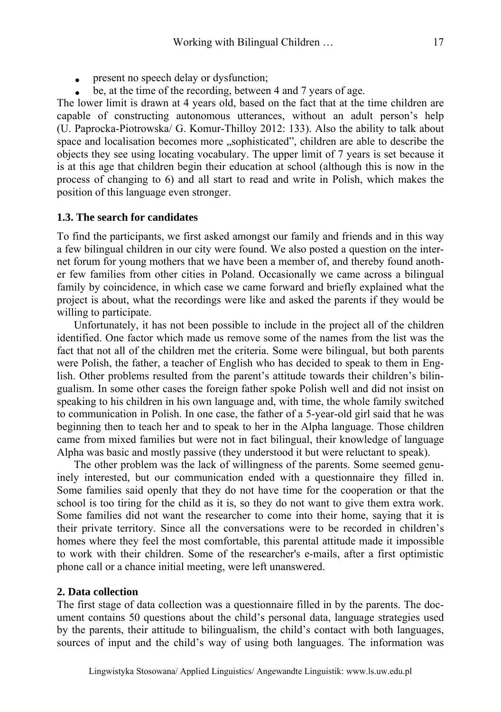- **present no speech delay or dysfunction;**
- be, at the time of the recording, between 4 and 7 years of age.

The lower limit is drawn at 4 years old, based on the fact that at the time children are capable of constructing autonomous utterances, without an adult person's help (U. Paprocka-Piotrowska/ G. Komur-Thilloy 2012: 133). Also the ability to talk about space and localisation becomes more "sophisticated", children are able to describe the objects they see using locating vocabulary. The upper limit of 7 years is set because it is at this age that children begin their education at school (although this is now in the process of changing to 6) and all start to read and write in Polish, which makes the position of this language even stronger.

#### **1.3. The search for candidates**

To find the participants, we first asked amongst our family and friends and in this way a few bilingual children in our city were found. We also posted a question on the internet forum for young mothers that we have been a member of, and thereby found another few families from other cities in Poland. Occasionally we came across a bilingual family by coincidence, in which case we came forward and briefly explained what the project is about, what the recordings were like and asked the parents if they would be willing to participate.

Unfortunately, it has not been possible to include in the project all of the children identified. One factor which made us remove some of the names from the list was the fact that not all of the children met the criteria. Some were bilingual, but both parents were Polish, the father, a teacher of English who has decided to speak to them in English. Other problems resulted from the parent's attitude towards their children's bilingualism. In some other cases the foreign father spoke Polish well and did not insist on speaking to his children in his own language and, with time, the whole family switched to communication in Polish. In one case, the father of a 5-year-old girl said that he was beginning then to teach her and to speak to her in the Alpha language. Those children came from mixed families but were not in fact bilingual, their knowledge of language Alpha was basic and mostly passive (they understood it but were reluctant to speak).

The other problem was the lack of willingness of the parents. Some seemed genuinely interested, but our communication ended with a questionnaire they filled in. Some families said openly that they do not have time for the cooperation or that the school is too tiring for the child as it is, so they do not want to give them extra work. Some families did not want the researcher to come into their home, saying that it is their private territory. Since all the conversations were to be recorded in children's homes where they feel the most comfortable, this parental attitude made it impossible to work with their children. Some of the researcher's e-mails, after a first optimistic phone call or a chance initial meeting, were left unanswered.

#### **2. Data collection**

The first stage of data collection was a questionnaire filled in by the parents. The document contains 50 questions about the child's personal data, language strategies used by the parents, their attitude to bilingualism, the child's contact with both languages, sources of input and the child's way of using both languages. The information was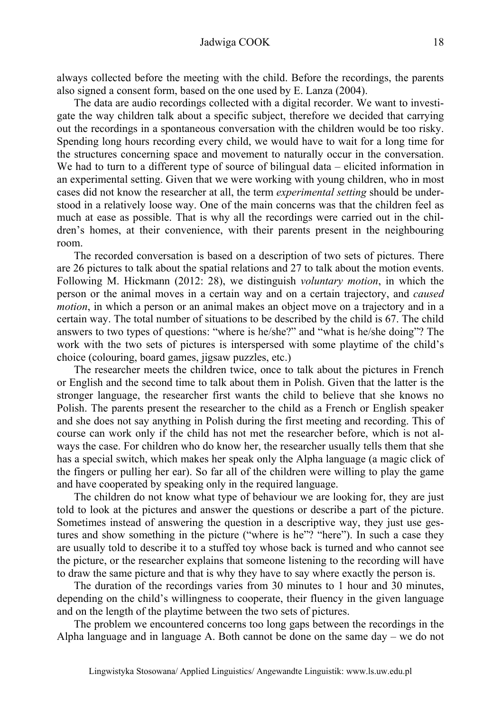always collected before the meeting with the child. Before the recordings, the parents also signed a consent form, based on the one used by E. Lanza (2004).

The data are audio recordings collected with a digital recorder. We want to investigate the way children talk about a specific subject, therefore we decided that carrying out the recordings in a spontaneous conversation with the children would be too risky. Spending long hours recording every child, we would have to wait for a long time for the structures concerning space and movement to naturally occur in the conversation. We had to turn to a different type of source of bilingual data – elicited information in an experimental setting. Given that we were working with young children, who in most cases did not know the researcher at all, the term *experimental setting* should be understood in a relatively loose way. One of the main concerns was that the children feel as much at ease as possible. That is why all the recordings were carried out in the children's homes, at their convenience, with their parents present in the neighbouring room.

The recorded conversation is based on a description of two sets of pictures. There are 26 pictures to talk about the spatial relations and 27 to talk about the motion events. Following M. Hickmann (2012: 28), we distinguish *voluntary motion*, in which the person or the animal moves in a certain way and on a certain trajectory, and *caused motion*, in which a person or an animal makes an object move on a trajectory and in a certain way. The total number of situations to be described by the child is 67. The child answers to two types of questions: "where is he/she?" and "what is he/she doing"? The work with the two sets of pictures is interspersed with some playtime of the child's choice (colouring, board games, jigsaw puzzles, etc.)

The researcher meets the children twice, once to talk about the pictures in French or English and the second time to talk about them in Polish. Given that the latter is the stronger language, the researcher first wants the child to believe that she knows no Polish. The parents present the researcher to the child as a French or English speaker and she does not say anything in Polish during the first meeting and recording. This of course can work only if the child has not met the researcher before, which is not always the case. For children who do know her, the researcher usually tells them that she has a special switch, which makes her speak only the Alpha language (a magic click of the fingers or pulling her ear). So far all of the children were willing to play the game and have cooperated by speaking only in the required language.

The children do not know what type of behaviour we are looking for, they are just told to look at the pictures and answer the questions or describe a part of the picture. Sometimes instead of answering the question in a descriptive way, they just use gestures and show something in the picture ("where is he"? "here"). In such a case they are usually told to describe it to a stuffed toy whose back is turned and who cannot see the picture, or the researcher explains that someone listening to the recording will have to draw the same picture and that is why they have to say where exactly the person is.

The duration of the recordings varies from 30 minutes to 1 hour and 30 minutes, depending on the child's willingness to cooperate, their fluency in the given language and on the length of the playtime between the two sets of pictures.

The problem we encountered concerns too long gaps between the recordings in the Alpha language and in language A. Both cannot be done on the same  $day - we$  do not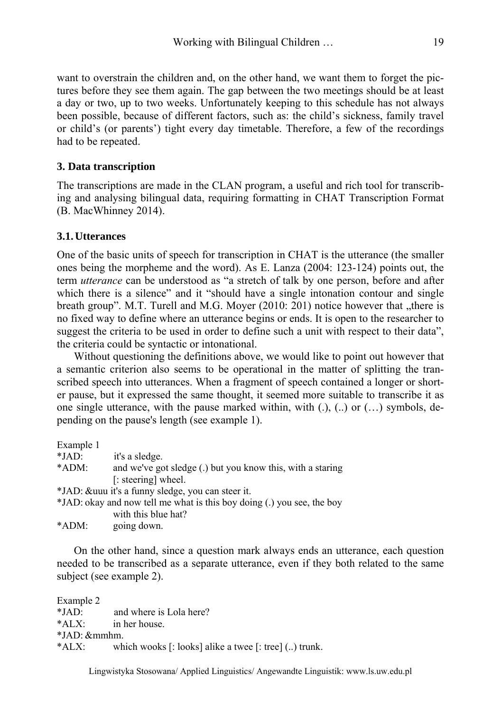want to overstrain the children and, on the other hand, we want them to forget the pictures before they see them again. The gap between the two meetings should be at least a day or two, up to two weeks. Unfortunately keeping to this schedule has not always been possible, because of different factors, such as: the child's sickness, family travel or child's (or parents') tight every day timetable. Therefore, a few of the recordings had to be repeated.

### **3. Data transcription**

The transcriptions are made in the CLAN program, a useful and rich tool for transcribing and analysing bilingual data, requiring formatting in CHAT Transcription Format (B. MacWhinney 2014).

# **3.1.Utterances**

One of the basic units of speech for transcription in CHAT is the utterance (the smaller ones being the morpheme and the word). As E. Lanza (2004: 123-124) points out, the term *utterance* can be understood as "a stretch of talk by one person, before and after which there is a silence" and it "should have a single intonation contour and single breath group". M.T. Turell and M.G. Moyer  $(2010: 201)$  notice however that "there is no fixed way to define where an utterance begins or ends. It is open to the researcher to suggest the criteria to be used in order to define such a unit with respect to their data", the criteria could be syntactic or intonational.

Without questioning the definitions above, we would like to point out however that a semantic criterion also seems to be operational in the matter of splitting the transcribed speech into utterances. When a fragment of speech contained a longer or shorter pause, but it expressed the same thought, it seemed more suitable to transcribe it as one single utterance, with the pause marked within, with (.), (..) or (…) symbols, depending on the pause's length (see example 1).

| Example 1 |                                                                        |
|-----------|------------------------------------------------------------------------|
| $*JAD:$   | it's a sledge.                                                         |
| $*ADM:$   | and we've got sledge (.) but you know this, with a staring             |
|           | [: steering] wheel.                                                    |
|           | *JAD: & uuu it's a funny sledge, you can steer it.                     |
|           | *JAD: okay and now tell me what is this boy doing (.) you see, the boy |
|           | with this blue hat?                                                    |
| *ADM:     | going down.                                                            |

On the other hand, since a question mark always ends an utterance, each question needed to be transcribed as a separate utterance, even if they both related to the same subject (see example 2).

Example 2 \*JAD: and where is Lola here? \*ALX: in her house. \*JAD: &mmhm. \*ALX: which wooks [: looks] alike a twee [: tree] (..) trunk.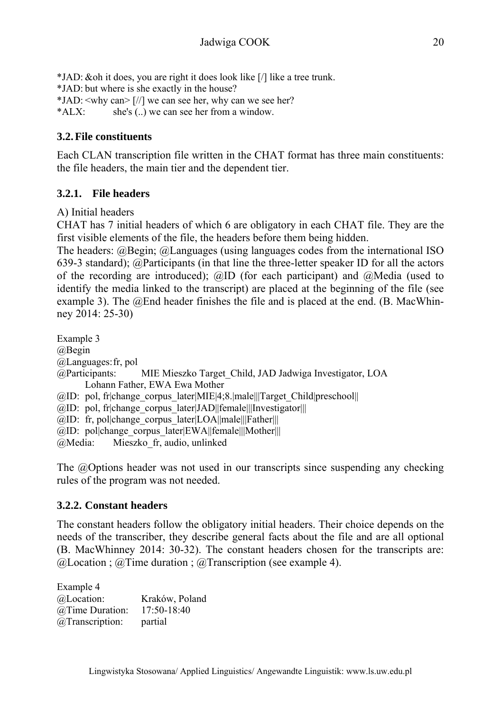\*JAD: &oh it does, you are right it does look like [/] like a tree trunk. \*JAD: but where is she exactly in the house? \*JAD: <why can> [//] we can see her, why can we see her? \*ALX: she's (..) we can see her from a window.

# **3.2.File constituents**

Each CLAN transcription file written in the CHAT format has three main constituents: the file headers, the main tier and the dependent tier.

# **3.2.1. File headers**

A) Initial headers

CHAT has 7 initial headers of which 6 are obligatory in each CHAT file. They are the first visible elements of the file, the headers before them being hidden.

The headers: @Begin; @Languages (using languages codes from the international ISO 639-3 standard); @Participants (in that line the three-letter speaker ID for all the actors of the recording are introduced);  $\omega$ ID (for each participant) and  $\omega$ Media (used to identify the media linked to the transcript) are placed at the beginning of the file (see example 3). The @End header finishes the file and is placed at the end. (B. MacWhinney 2014: 25-30)

Example 3 @Begin @Languages: fr, pol @Participants: MIE Mieszko Target\_Child, JAD Jadwiga Investigator, LOA Lohann Father, EWA Ewa Mother  $@ID:$  pol, fr|change\_corpus\_later|MIE|4;8.|male|||Target\_Child|preschool||  $@ID: pol, frichange corpus later|JAD||female||Investigator|||$ @ID: fr, pol|change\_corpus\_later|LOA||male|||Father||| @ID: pol|change\_corpus\_later|EWA||female|||Mother||| @Media: Mieszko\_fr, audio, unlinked

The @Options header was not used in our transcripts since suspending any checking rules of the program was not needed.

# **3.2.2. Constant headers**

The constant headers follow the obligatory initial headers. Their choice depends on the needs of the transcriber, they describe general facts about the file and are all optional (B. MacWhinney 2014: 30-32). The constant headers chosen for the transcripts are:  $@$ Location ;  $@$ Time duration ;  $@$ Transcription (see example 4).

Example 4 @Location: Kraków, Poland @Time Duration: 17:50-18:40 @Transcription: partial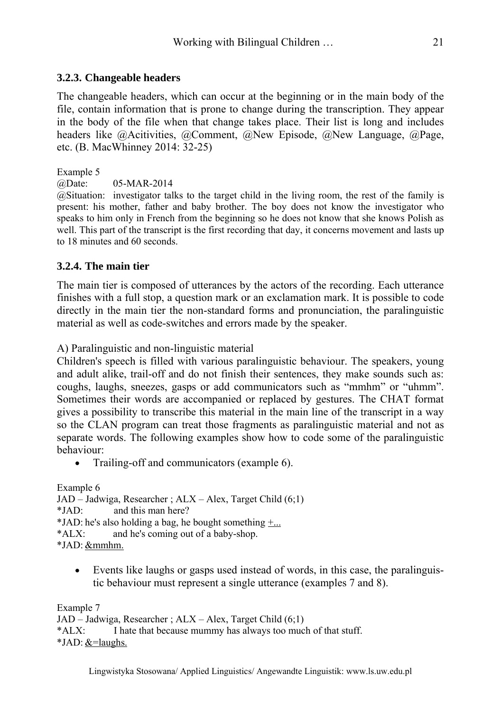The changeable headers, which can occur at the beginning or in the main body of the file, contain information that is prone to change during the transcription. They appear in the body of the file when that change takes place. Their list is long and includes headers like @Acitivities, @Comment, @New Episode, @New Language, @Page, etc. (B. MacWhinney 2014: 32-25)

Example 5

@Date: 05-MAR-2014

@Situation: investigator talks to the target child in the living room, the rest of the family is present: his mother, father and baby brother. The boy does not know the investigator who speaks to him only in French from the beginning so he does not know that she knows Polish as well. This part of the transcript is the first recording that day, it concerns movement and lasts up to 18 minutes and 60 seconds.

# **3.2.4. The main tier**

The main tier is composed of utterances by the actors of the recording. Each utterance finishes with a full stop, a question mark or an exclamation mark. It is possible to code directly in the main tier the non-standard forms and pronunciation, the paralinguistic material as well as code-switches and errors made by the speaker.

A) Paralinguistic and non-linguistic material

Children's speech is filled with various paralinguistic behaviour. The speakers, young and adult alike, trail-off and do not finish their sentences, they make sounds such as: coughs, laughs, sneezes, gasps or add communicators such as "mmhm" or "uhmm". Sometimes their words are accompanied or replaced by gestures. The CHAT format gives a possibility to transcribe this material in the main line of the transcript in a way so the CLAN program can treat those fragments as paralinguistic material and not as separate words. The following examples show how to code some of the paralinguistic behaviour:

• Trailing-off and communicators (example 6).

Example 6

```
JAD – Jadwiga, Researcher ; ALX – Alex, Target Child (6;1)
```
\*JAD: and this man here?

\*JAD: he's also holding a bag, he bought something  $+...$ 

\*ALX: and he's coming out of a baby-shop.

\*JAD: &mmhm.

 Events like laughs or gasps used instead of words, in this case, the paralinguistic behaviour must represent a single utterance (examples 7 and 8).

Example 7

JAD – Jadwiga, Researcher ; ALX – Alex, Target Child (6;1)

\*ALX: I hate that because mummy has always too much of that stuff.

 $*JAD: & =$ laughs.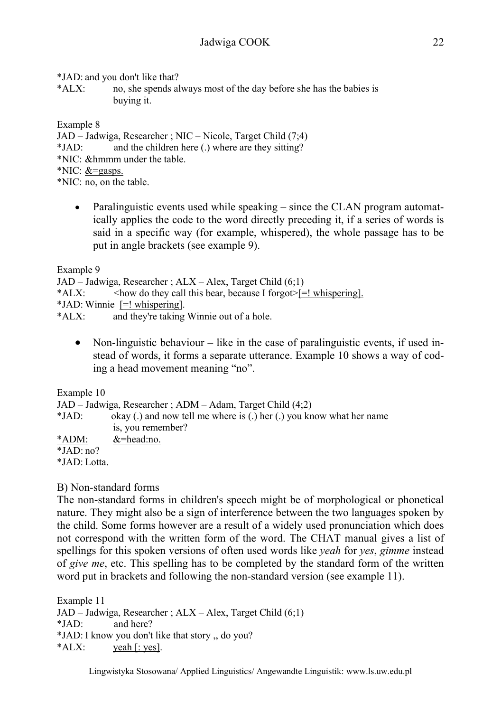\*JAD: and you don't like that?

\*ALX: no, she spends always most of the day before she has the babies is buying it.

Example 8

JAD – Jadwiga, Researcher ; NIC – Nicole, Target Child (7;4)

\*JAD: and the children here (.) where are they sitting?

\*NIC: &hmmm under the table.

\*NIC: &=gasps.

\*NIC: no, on the table.

• Paralinguistic events used while speaking – since the CLAN program automatically applies the code to the word directly preceding it, if a series of words is said in a specific way (for example, whispered), the whole passage has to be put in angle brackets (see example 9).

Example 9

JAD – Jadwiga, Researcher ; ALX – Alex, Target Child (6;1)

\*ALX:  $\leq$   $\leq$   $\leq$   $\leq$   $\leq$   $\leq$   $\leq$   $\leq$   $\leq$   $\leq$   $\leq$   $\leq$   $\leq$   $\leq$   $\leq$   $\leq$   $\leq$   $\leq$   $\leq$   $\leq$   $\leq$   $\leq$   $\leq$   $\leq$   $\leq$   $\leq$   $\leq$   $\leq$   $\leq$   $\leq$   $\leq$   $\leq$   $\leq$   $\leq$   $\leq$   $\leq$ 

\*JAD: Winnie [=! whispering].

\*ALX: and they're taking Winnie out of a hole.

• Non-linguistic behaviour  $-$  like in the case of paralinguistic events, if used instead of words, it forms a separate utterance. Example 10 shows a way of coding a head movement meaning "no".

Example 10

JAD – Jadwiga, Researcher ; ADM – Adam, Target Child (4;2)

\*JAD: okay (.) and now tell me where is (.) her (.) you know what her name is, you remember?

 $*ADM$ :  $&=$ head:no.

 $\overline{I}AD:no?$ 

\*JAD: Lotta.

# B) Non-standard forms

The non-standard forms in children's speech might be of morphological or phonetical nature. They might also be a sign of interference between the two languages spoken by the child. Some forms however are a result of a widely used pronunciation which does not correspond with the written form of the word. The CHAT manual gives a list of spellings for this spoken versions of often used words like *yeah* for *yes*, *gimme* instead of *give me*, etc. This spelling has to be completed by the standard form of the written word put in brackets and following the non-standard version (see example 11).

Example 11 JAD – Jadwiga, Researcher ; ALX – Alex, Target Child (6;1) \*JAD: and here? \*JAD: I know you don't like that story ,, do you? \*ALX: yeah [: yes].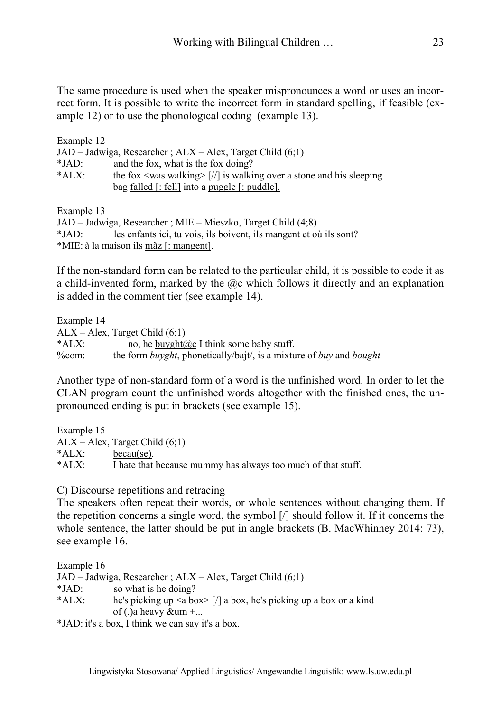The same procedure is used when the speaker mispronounces a word or uses an incorrect form. It is possible to write the incorrect form in standard spelling, if feasible (example 12) or to use the phonological coding (example 13).

| Example 12 |                                                                                       |
|------------|---------------------------------------------------------------------------------------|
|            | $JAD - Jadwiga$ , Researcher; $ALX - Alex$ , Target Child $(6,1)$                     |
| $*JAD:$    | and the fox, what is the fox doing?                                                   |
| $*AIX:$    | the fox $\langle$ was walking $\rangle$ [//] is walking over a stone and his sleeping |
|            | bag <u>falled [: fell</u> ] into a puggle $\lbrack$ : puddle].                        |
| Example 13 |                                                                                       |

JAD – Jadwiga, Researcher ; MIE – Mieszko, Target Child (4;8) \*JAD: les enfants ici, tu vois, ils boivent, ils mangent et où ils sont? \*MIE: à la maison ils mãz [: mangent].

If the non-standard form can be related to the particular child, it is possible to code it as a child-invented form, marked by the  $@c$  which follows it directly and an explanation is added in the comment tier (see example 14).

Example 14 ALX – Alex, Target Child (6;1) \*ALX: no, he buyght@c I think some baby stuff. %com: the form *buyght*, phonetically/bajt/, is a mixture of *buy* and *bought*

Another type of non-standard form of a word is the unfinished word. In order to let the CLAN program count the unfinished words altogether with the finished ones, the unpronounced ending is put in brackets (see example 15).

Example 15  $ALX - Alex$ , Target Child  $(6,1)$ \*ALX: becau(se). \*ALX: I hate that because mummy has always too much of that stuff.

C) Discourse repetitions and retracing

The speakers often repeat their words, or whole sentences without changing them. If the repetition concerns a single word, the symbol [/] should follow it. If it concerns the whole sentence, the latter should be put in angle brackets (B. MacWhinney 2014: 73), see example 16.

Example 16 JAD – Jadwiga, Researcher ; ALX – Alex, Target Child (6;1) \*JAD: so what is he doing? \*ALX: he's picking up  $\le a$  box $>$  [/] a box, he's picking up a box or a kind of (.)a heavy &um +...

\*JAD: it's a box, I think we can say it's a box.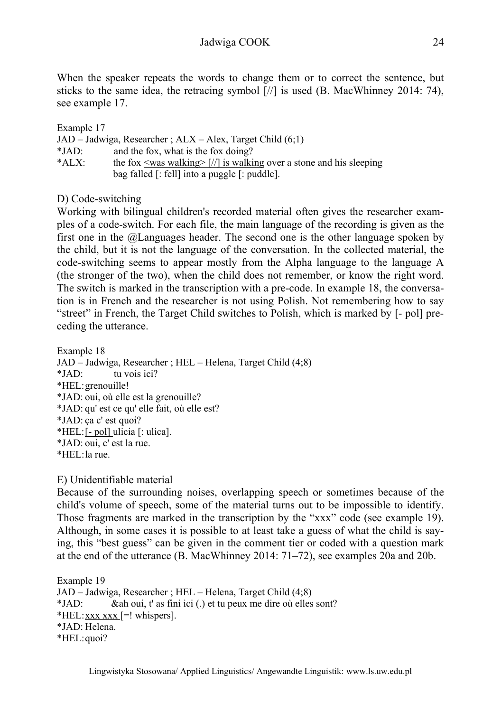When the speaker repeats the words to change them or to correct the sentence, but sticks to the same idea, the retracing symbol [//] is used (B. MacWhinney 2014: 74), see example 17.

| Example 17 |                                                                               |
|------------|-------------------------------------------------------------------------------|
|            | $JAD - Jadwiga$ , Researcher ; $ALX - Alex$ , Target Child $(6.1)$            |
| $*IAD$     | and the fox, what is the fox doing?                                           |
| $*AIX:$    | the fox $\le$ was walking $\ge$ [//] is walking over a stone and his sleeping |
|            | bag falled [: fell] into a puggle [: puddle].                                 |

D) Code-switching

Working with bilingual children's recorded material often gives the researcher examples of a code-switch. For each file, the main language of the recording is given as the first one in the @Languages header. The second one is the other language spoken by the child, but it is not the language of the conversation. In the collected material, the code-switching seems to appear mostly from the Alpha language to the language A (the stronger of the two), when the child does not remember, or know the right word. The switch is marked in the transcription with a pre-code. In example 18, the conversation is in French and the researcher is not using Polish. Not remembering how to say "street" in French, the Target Child switches to Polish, which is marked by [- pol] preceding the utterance.

Example 18 JAD – Jadwiga, Researcher ; HEL – Helena, Target Child (4;8) \*JAD: tu vois ici? \*HEL: grenouille! \*JAD: oui, où elle est la grenouille? \*JAD: qu' est ce qu' elle fait, où elle est? \*JAD: ça c' est quoi? \*HEL: [- pol] ulicia [: ulica]. \*JAD: oui, c' est la rue. \*HEL: la rue.

E) Unidentifiable material

Because of the surrounding noises, overlapping speech or sometimes because of the child's volume of speech, some of the material turns out to be impossible to identify. Those fragments are marked in the transcription by the "xxx" code (see example 19). Although, in some cases it is possible to at least take a guess of what the child is saying, this "best guess" can be given in the comment tier or coded with a question mark at the end of the utterance (B. MacWhinney 2014: 71–72), see examples 20a and 20b.

Example 19 JAD – Jadwiga, Researcher ; HEL – Helena, Target Child (4;8) \*JAD: &ah oui, t' as fini ici (.) et tu peux me dire où elles sont? \*HEL: xxx  $\overline{x}$  xxx  $\overline{e}$  =! whispers]. \*JAD: Helena. \*HEL: quoi?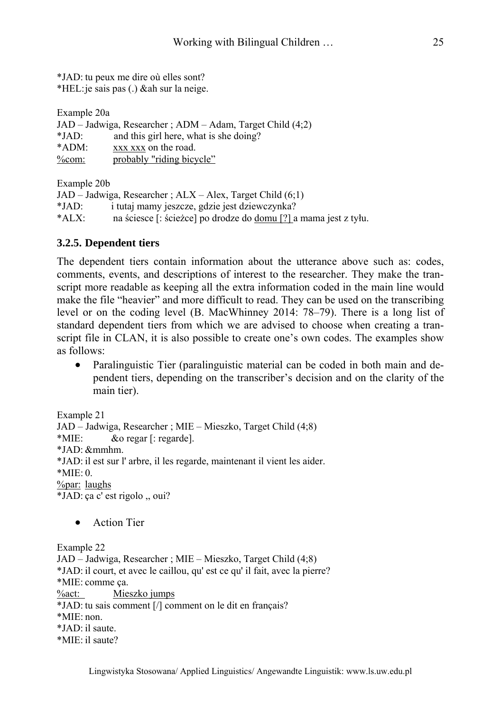\*JAD: tu peux me dire où elles sont? \*HEL: je sais pas (.) &ah sur la neige.

| Example 20a |                                                           |  |
|-------------|-----------------------------------------------------------|--|
|             | JAD – Jadwiga, Researcher; ADM – Adam, Target Child (4;2) |  |
| $*JAD:$     | and this girl here, what is she doing?                    |  |
| $*ADM$ :    | xxx xxx on the road.                                      |  |
| %com:       | probably "riding bicycle"                                 |  |

Example 20b

JAD – Jadwiga, Researcher ; ALX – Alex, Target Child (6;1) \*JAD: i tutaj mamy jeszcze, gdzie jest dziewczynka? \*ALX: na ściesce [: ścieżce] po drodze do domu [?] a mama jest z tyłu.

#### **3.2.5. Dependent tiers**

The dependent tiers contain information about the utterance above such as: codes, comments, events, and descriptions of interest to the researcher. They make the transcript more readable as keeping all the extra information coded in the main line would make the file "heavier" and more difficult to read. They can be used on the transcribing level or on the coding level (B. MacWhinney 2014: 78–79). There is a long list of standard dependent tiers from which we are advised to choose when creating a transcript file in CLAN, it is also possible to create one's own codes. The examples show as follows:

• Paralinguistic Tier (paralinguistic material can be coded in both main and dependent tiers, depending on the transcriber's decision and on the clarity of the main tier).

Example 21 JAD – Jadwiga, Researcher ; MIE – Mieszko, Target Child (4;8) \*MIE: &o regar [: regarde]. \*JAD: &mmhm. \*JAD: il est sur l' arbre, il les regarde, maintenant il vient les aider.  $*MIE: 0.$ %par: laughs \*JAD: ça c' est rigolo ,, oui?

**•** Action Tier

Example 22 JAD – Jadwiga, Researcher ; MIE – Mieszko, Target Child (4;8) \*JAD: il court, et avec le caillou, qu' est ce qu' il fait, avec la pierre? \*MIE: comme ça. %act: Mieszko jumps \*JAD: tu sais comment [/] comment on le dit en français? \*MIE: non. \*JAD: il saute. \*MIE: il saute?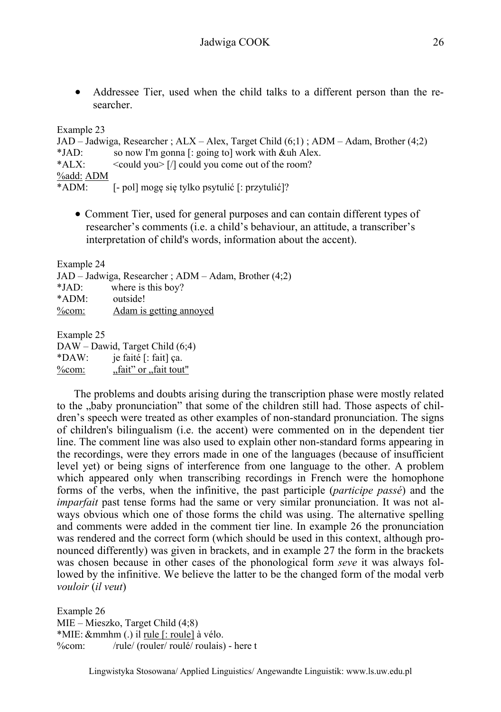Addressee Tier, used when the child talks to a different person than the researcher.

Example 23

JAD – Jadwiga, Researcher ; ALX – Alex, Target Child (6;1) ; ADM – Adam, Brother (4;2) \*JAD: so now I'm gonna [: going to] work with &uh Alex. \*ALX: <could you> [/] could you come out of the room? %add: ADM \*ADM: [- pol] mogę się tylko psytulić [: przytulić]?

 Comment Tier, used for general purposes and can contain different types of researcher's comments (i.e. a child's behaviour, an attitude, a transcriber's interpretation of child's words, information about the accent).

Example 24

JAD – Jadwiga, Researcher ; ADM – Adam, Brother (4;2)

\*JAD: where is this boy?

\*ADM: outside!

%com: Adam is getting annoyed

Example 25

DAW – Dawid, Target Child (6;4) \*DAW: je faité [: fait] ça.

 $%com:$   $, fait"$  or  $, fait"$ 

The problems and doubts arising during the transcription phase were mostly related to the "baby pronunciation" that some of the children still had. Those aspects of children's speech were treated as other examples of non-standard pronunciation. The signs of children's bilingualism (i.e. the accent) were commented on in the dependent tier line. The comment line was also used to explain other non-standard forms appearing in the recordings, were they errors made in one of the languages (because of insufficient level yet) or being signs of interference from one language to the other. A problem which appeared only when transcribing recordings in French were the homophone forms of the verbs, when the infinitive, the past participle (*participe passé*) and the *imparfait* past tense forms had the same or very similar pronunciation. It was not always obvious which one of those forms the child was using. The alternative spelling and comments were added in the comment tier line. In example 26 the pronunciation was rendered and the correct form (which should be used in this context, although pronounced differently) was given in brackets, and in example 27 the form in the brackets was chosen because in other cases of the phonological form *seve* it was always followed by the infinitive. We believe the latter to be the changed form of the modal verb *vouloir* (*il veut*)

Example 26 MIE – Mieszko, Target Child (4;8) \*MIE: &mmhm (.) il rule [: roule] à vélo. %com: /rule/ (rouler/ roulé/ roulais) - here t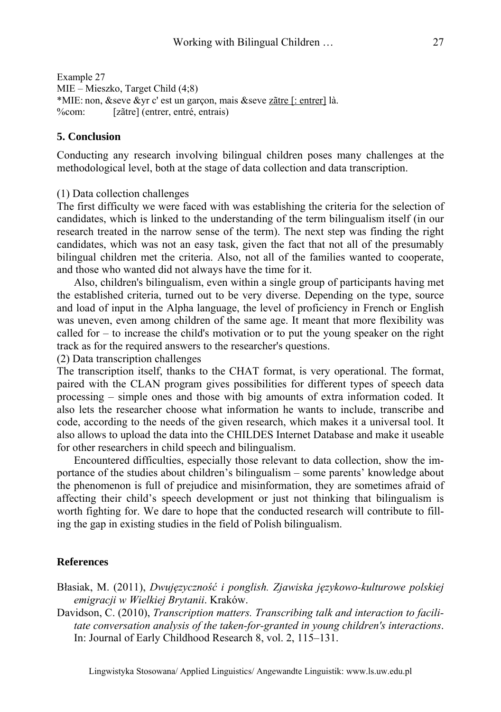Example 27 MIE – Mieszko, Target Child (4;8) \*MIE: non, &seve &yr c' est un garçon, mais &seve zãtre [: entrer] là. %com: [zãtre] (entrer, entré, entrais)

#### **5. Conclusion**

Conducting any research involving bilingual children poses many challenges at the methodological level, both at the stage of data collection and data transcription.

(1) Data collection challenges

The first difficulty we were faced with was establishing the criteria for the selection of candidates, which is linked to the understanding of the term bilingualism itself (in our research treated in the narrow sense of the term). The next step was finding the right candidates, which was not an easy task, given the fact that not all of the presumably bilingual children met the criteria. Also, not all of the families wanted to cooperate, and those who wanted did not always have the time for it.

Also, children's bilingualism, even within a single group of participants having met the established criteria, turned out to be very diverse. Depending on the type, source and load of input in the Alpha language, the level of proficiency in French or English was uneven, even among children of the same age. It meant that more flexibility was called for – to increase the child's motivation or to put the young speaker on the right track as for the required answers to the researcher's questions.

(2) Data transcription challenges

The transcription itself, thanks to the CHAT format, is very operational. The format, paired with the CLAN program gives possibilities for different types of speech data processing – simple ones and those with big amounts of extra information coded. It also lets the researcher choose what information he wants to include, transcribe and code, according to the needs of the given research, which makes it a universal tool. It also allows to upload the data into the CHILDES Internet Database and make it useable for other researchers in child speech and bilingualism.

Encountered difficulties, especially those relevant to data collection, show the importance of the studies about children's bilingualism – some parents' knowledge about the phenomenon is full of prejudice and misinformation, they are sometimes afraid of affecting their child's speech development or just not thinking that bilingualism is worth fighting for. We dare to hope that the conducted research will contribute to filling the gap in existing studies in the field of Polish bilingualism.

### **References**

Błasiak, M. (2011), *Dwujęzyczność i ponglish. Zjawiska językowo-kulturowe polskiej emigracji w Wielkiej Brytanii*. Kraków.

Davidson, C. (2010), *Transcription matters. Transcribing talk and interaction to facilitate conversation analysis of the taken-for-granted in young children's interactions*. In: Journal of Early Childhood Research 8, vol. 2, 115–131.